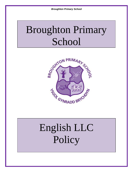## Broughton Primary School



# English LLC Policy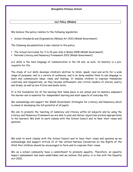## **LLC Policy (Wales)**

We believe this policy relates to the following legislation:

School Standards and Organisation (Wales) Act 2013 (Welsh Government)

The following documentation is also related to this policy:

- The School Curriculum for 3 to 19 year olds in Wales 2008 (Welsh Government)
- National Literacy and Numeracy Framework 2013 (Welsh Government)

LLC skills is the main language of communication in the UK and, as such, its mastery is a prerequisite for life.

The study of LLC skills develops children's abilities to listen, speak, read and write for a wide range of purposes, and to a variety of audiences, and in so doing enables them to use language to learn and communicate ideas, views and feelings. It enables children to express themselves creatively and imaginatively, as they become enthusiastic and critical readers of stories, poetry and drama, as well as non-fiction and media texts.

It is the foundation for all the learning that takes place in our school and its mastery empowers the learner and is essential for independent learning and most aspects of everyday life.

We acknowledge and support the Welsh Government strategies for Literacy and Numeracy which is aimed at developing the full potential of all pupils.

We aim to promote the teaching of numeracy and literacy within all subjects and by using the Literacy and Numeracy Framework we are able to plan and deliver objectives pitched appropriately to the learners. We wish to work closely with the School Council and to hear their views and opinions.

We wish to work closely with the School Council and to hear their views and opinions as we acknowledge and support Article 12 of the United Nations Convention on the Rights of the Child that children should be encouraged to form and to express their views.

We as a school community have a commitment to promote equality. Therefore, an equality impact assessment has been undertaken and we believe this policy is in line with the Equality Act 2010.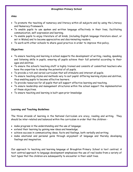#### **Aims**

- To promote the teaching of numeracy and literacy within all subjects and by using the Literacy and Numeracy Framework.
- To enable pupils to use spoken and written language effectively in their lives, facilitating communication, self-expression and learning.
- To enable pupils to enjoy literature of all kinds, (including English language literature about, or set in Wales) and to become appreciative and discriminating readers.
- To work with other schools to share good practice in order to improve this policy.

## **Objectives**

- To ensure teaching and learning in school supports the development of writing, reading, speaking and listening skills in pupils, ensuring all pupils achieve their full potential according to their ages and abilities.
- To ensure the school's teaching staff is highly trained and consists of committed teachers who have the expertise to develop the potential of all pupils.
- To provide a rich and varied curriculum that will stimulate and interest all pupils.
- To ensure teaching styles and methods vary to suit pupils' differing learning styles and abilities, thus enabling pupils to become effective learners.
- To provide resources for all pupils that will support effective learning and teaching.
- To ensure leadership and management structures within the school support the implementation of these objectives.
- To ensure teaching and learning is built upon prior knowledge

#### **Learning and Teaching Guidelines**

The three strands of learning in the National Curriculum are oracy, reading and writing. They should be inter-related and balanced within the curriculum in order that the children:-

- make progress in the understanding and the use of language;
- extend their learning by gaining new ideas and knowledge;
- achieve success in communicating ideas, facts and feelings, both verbally and writing;
- make emotional and personal gains through enjoyment of language and thereby developing feelings and imagination.

Our approach to teaching and learning language at Broughton Primary School is text centred. A text centred approach to language development emphasizes the use of real books from a variety of text types that the children are subsequently to encounter in their adult lives.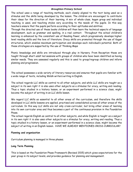The school uses a range of teaching methods, each closely aligned to the text being used as a stimulus and the skills being developed by the lesson. The children are encouraged to contribute their ideas for the direction of their learning. A mix of whole-class, kagan group and individual teaching is used, and teaching styles vary according to the needs of the pupils. In this way teachers ensure that the pupils perform according to their aptitudes and abilities.

Through the directed use of these books children will then learn the technical aspects of language development, such as grammar and spelling, in a real context. Throughout the school children's learning is enhanced by the consistent use of Reading Power, which progressively develops higher level reading skills and the love of literature. Oracy skills are promoted through the use of Kagan structures, which enables maximum participation and develops each individual's potential. Both of these strategies are supported by the use of Thinking Maps

Phonic knowledge and skills are introduced through play in Nursery. From Reception these are taught through short adult led sessions with groups of children who have been identified as having similar needs. They are assessed regularly and this is used to group/regroup children and inform planning and progression.

The school possesses a wide variety of literary resources and ensures that pupils are familiar with a wide range of texts, including Welsh writers writing in English.

The school regards LLC skills as central to all other subjects, and while LLC skills are taught as a subject in its own right it is also uses other subjects as a stimulus for oracy, writing and reading. Thus a topic studied in a history lesson, or an experiment performed in a science class, might become the subject of writing in an LLC skills lesson.

We regard LLC skills as essential to all other areas of the curriculum, and therefore the skills developed in LLC skills lessons are applied, practised and consolidated across all other areas of the curriculum. In this way LLC skills are not only cross-curricular, but bring other areas of learning into its own curricular area and thus becomes a part of the continuous provision in the Foundation Phase.

The school regards English as central to all other subjects, and while English is taught as a subject in its own right it is also uses other subjects as a stimulus for oracy, writing and reading. Thus a topic studied in a history lesson, or an experiment performed in a science class, might become the subject of writing in an English lesson. HAVE WE ALREADY MENTIONED CROSS CURRICULAR?

#### **Planning and organization**

Curriculum planning is managed in three phases.

#### **Long Term Planning**

This is based on the Foundation Phase Framework (Revised 2015) which gives expectations for the year group in its subject levels, and provides guidance for planning and management.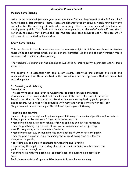#### **Medium Term Planning**

Skills to be developed for each year group are identified and highlighted in the FPF on a half termly basis by Departmental Teams. These are differentiated by colour for each term/half term and allow for the revisiting of skills when necessary. This ensures a balanced distribution of development of skills. This feeds into the short term planning. At the end of each half term this is reviewed, to ensure that planned skill opportunities have been delivered and to take account of different directions led by the children.

#### **Short Term Planning**

This details the LLC skills curriculum over the week/fortnight. Activities are planned to develop these skills and outcomes which may be met are identified. At the end of each fortnight this is reviewed and feeds into future planning.

The teachers collaborate on the planning of LLC skills to ensure parity in provision and to share expertise.

We believe it is essential that this policy clearly identifies and outlines the roles and responsibilities of all those involved in the procedures and arrangements that are connected with this policy.

#### **1. Speaking and Listening**

#### **Introduction**

The ability to speak and listen is fundamental to pupils' language and social development. It is an essential tool for all areas of the curriculum, as talk underpins learning and thinking. It is vital that its significance is recognised by pupils, parents and teachers. Pupils need to be provided with many and varied contexts for talk, but they also need direct teaching in the skills of speaking and listening.

#### **Teaching and learning**

In order to promote high quality speaking and listening, teachers and pupils adopt variety of Roles, supported by the use of Kagan structures, such as:

• modelling dialogue, e.g. turn taking, offering opinions and inviting response;

• modelling listening, e.g. the use of non-verbal communication, respecting,

even if disagreeing with, the views of others;

• modelling values, e.g. encouraging the participation of shy or reticent pupils,

• modelling participation, e.g. recognising the value of being seen as a learner alongside the pupils;

• providing a wide range of contexts for speaking and listening;

• supporting the pupils by providing clear structures for tasks which require the pupils to learn through talk;

• sharing roles with the pupils, e.g. as questioner, the 'expert' on a particular topic.

Pupils have a variety of opportunities to use talk to enhance learning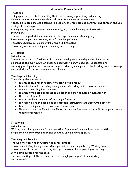These are:

• playing an active role in directing their own learning, e.g. making and sharing

decisions about how to approach a task, selecting appropriate resources.

• engaging in speaking and listening in a variety of groupings and settings, and through the use of digital technology.

• using language creatively and imaginatively, e.g. through role-play, hotseating, storytelling;

• demonstrating what they know and evaluating their understanding, e.g.

involvement in plenary sessions, use of shoulder partners.

• creating displays which are stimulating and interactive;

• providing resources to support speaking and listening.

## **2. Reading**

## **Introduction**

The ability to read is fundamental to pupils' development as independent learners in all areas of the curriculum. In order to read with fluency, accuracy, understanding and enjoyment pupils need to use a range of strategies supported by Reading Power: drawing on knowledge of context, grammar and phonics.

## **Teaching and learning**

The role of the teacher is:

- to engage children in reading through text led topics
- to model the act of reading through shared reading and to provide focused
- support through guided reading;
- to assess the pupil's progress as a reader and provide explicit guidance for
- their development;
- to use reading as a means of locating information;
- to foster a love of reading as an enjoyable, stimulating and worthwhile activity;
- to create a supportive environment for reading.
- Phonics is used in Foundation Phase and as an intervention in KS2 to support early reading progression.

## **3. Writing**

## **Introduction**

Writing is a primary means of communication. Pupils need to learn how to write with confidence, fluency, imagination and accuracy using a range of skills.

## **Teaching and learning**

Through the teaching of writing the school aims to:

• provide modelling through shared and guided writing, supported by Writing Powers

• provide a real context for writing through cross-curricular planning or writing with a true purpose for the child;

• value each stage of the writing process through planning, drafting, editing, and presenting.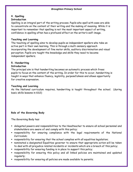## **4. Spelling**

## **Introduction**

Spelling is an integral part of the writing process. Pupils who spell with ease are able to concentrate on the content of their writing and the making of meaning. While it is important to remember that spelling is not the most important aspect of writing, confidence in spelling often has a profound effect on the writer's self-image.

## **Teaching and Learning**

The teaching of spelling aims to develop pupils as independent spellers who take an active part in their own learning. This is through a multi-sensory approach incorporating the development of fine motor skills, auditory discrimination and visual perception. Pupils are taught the knowledge and skills they need to become independent spellers.

## **5. Handwriting**

#### **Introduction**

The principal aim is that handwriting becomes an automatic process which frees pupils to focus on the content of the writing. In order for this to occur, handwriting is taught in ways that enhance fluency, legibility, purposefulness and allows opportunity for creative expression.

#### **Teaching and Learning**

As the National curriculum requires, handwriting is taught throughout the school. (during basic skills lessons in KS2)

## **Role of the Governing Body**

The Governing Body has:

- delegated powers and responsibilities to the Headteacher to ensure all school personnel and stakeholders are aware of and comply with this policy;
- responsibility for ensuring compliance with the legal requirements of the National Curriculum;
- responsibility for ensuring that the school complies with all equalities legislation;
- nominated a designated Equalities governor to ensure that appropriate action will be taken to deal with all prejudice related incidents or incidents which are a breach of this policy;
- responsibility for ensuring funding is in place to support this policy;
- responsibility for ensuring this policy and all linked policies are maintained and updated regularly;
- responsibility for ensuring all policies are made available to parents;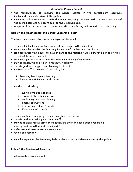- the responsibility of involving the School Council in the development, approval, implementation and review of this policy;
- nominated a link governor to visit the school regularly, to liaise with the Headteacher and the coordinator and to report back to the Governing Body;
- responsibility for the effective implementation, monitoring and evaluation of this policy

## **Role of the Headteacher and Senior Leadership Team**

The Headteacher and the Senior Management Team will:

- ensure all school personnel are aware of and comply with this policy;
- ensure compliance with the legal requirements of the National Curriculum;
- consider disapplying a pupil from all or part of the National Curriculum for a period of time if this will benefit the child;
- encourage parents to take an active role in curriculum development;
- provide leadership and vision in respect of equality;
- provide guidance, support and training to all staff;
- **n** monitor the effectiveness of this policy by;
	- $\triangleright$  observing teaching and learning
	- $\triangleright$  planning scrutinies and work trawls
- monitor standards by;
	- $\triangleright$  auditing the subject area
	- $\triangleright$  review of the scheme of work
	- $\triangleright$  monitoring teachers planning
	- $\triangleright$  lesson observations
	- $\triangleright$  scrutinising children's work
	- $\triangleright$  discussions with pupils
- ensure continuity and progression throughout the school;
- provide guidance and support to all staff;
- provide training for all staff on induction and when the need arises regarding;
- **E** keep up to date with new developments;
- undertake risk assessments when required;
- **Perical monitor:**
- annually report to the Governing Body on the success and development of this policy

#### **Role of the Nominated Governor**

The Nominated Governor will: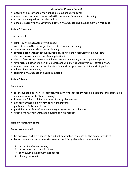- ensure this policy and other linked policies are up to date;
- ensure that everyone connected with the school is aware of this policy;
- attend training related to this policy;
- annually report to the Governing Body on the success and development of this policy

## **Role of Teachers**

Teachers will:

- comply with all aspects of this policy;
- work closely with the subject leader to develop this policy;
- devise medium and short term planning;
- develop pupils' spoken language, reading, writing and vocabulary in all subjects;
- **Phan and deliver good to outstanding lessons;**
- plan differentiated lessons which are interactive, engaging and of a good pace;
- have high expectations for all children and will provide work that will extend them;
- assess, record and report on the development, progress and attainment of pupils;
- achieve high standards;
- celebrate the success of pupils in lessons

## **Role of Pupils**

Pupils will:

- be encouraged to work in partnership with the school by making decisions and exercising choice in relation to their learning;
- **Example 1** listen carefully to all instructions given by the teacher;
- ask for further help if they do not understand;
- participate fully in all lessons;
- participate in discussions concerning progress and attainment;
- **Theorm 1** treat others, their work and equipment with respect;

## **Role of Parents/Carers**

Parents/carers will:

- be aware of and have access to this policy which is available on the school website;?
- be encouraged to take an active role in the life of the school by attending:
	- $\triangleright$  parents and open evenings
	- $\triangleright$  parent-teacher consultations
	- $\triangleright$  curriculum development workshops
	- $\triangleright$  sharing services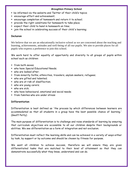- be informed via the website and Twitter of their child's topics;
- encourage effort and achievement;
- encourage completion of homework and return it to school;
- provide the right conditions for homework to take place;
- expect their child to hand in homework on time;
- join the school in celebrating success of their child's learning;

#### **Inclusion**

We believe that we are an educationally inclusive school as we are concerned about the teaching and learning, achievements, attitudes and well-being of all our pupils. We aim to provide places for all pupils who express a preference to join this school.

We work hard to offer equality of opportunity and diversity to all groups of pupils within school such as children:

- **from both sexes;**
- who have Special Educational Needs;
- who are looked after;
- from minority faiths, ethnicities, travelers, asylum seekers, refugees;
- who are gifted and talented;
- who are at risk of disaffection;
- who are young carers;
- who are sick;
- who have behavioural, emotional and social needs;
- **from families who are under stress**

## **Differentiation**

Differentiation is best defined as 'the process by which differences between learners are accommodated so that all students in a group have the best possible chance of learning.' (Geoff Petty)

The main purpose of differentiation is to challenge and raise standards of learning by ensuring that curriculum objectives are accessible to all our children despite their backgrounds or abilities. We see differentiation as a form of integration and not exclusion.

Differentiation must reflect the learning skills and can be achieved in a variety of ways either by task, by support or by outcome and should be chosen by fitness for purpose.

We want all children to achieve success, therefore we will ensure they are given differentiated tasks that are matched to their level of attainment so that they can demonstrate successfully what they know, understand and can do.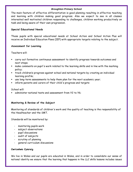The main feature of effective differentiation is good planning resulting in effective teaching and learning with children making good progress. Also we expect to see in all classes interested well motivated children responding to challenges, children working productively on task and being aware of their own progression.

#### **Special Educational Needs**

Those pupils with special educational needs at School Action and School Action Plus will receive an Individual Education Plans (IEP) with appropriate targets relating to the subject.

#### **Assessment for Learning**

Teachers will:

- carry out formative continuous assessment to identify progress towards outcomes and next steps;
- make comments on pupil's work related to the learning skills and in line with the marking policy;
- track children's progress against school and national targets by creating an individual learning profile;
- use long-term assessments to help them plan for the next academic year;
- inform parents and carers of their child's progress and targets

School will:

administer national tests and assessment from Y2 to Y6;

## **Monitoring & Review of the Subject**

Monitoring of standards of children's work and the quality of teaching is the responsibility of the Headteacher and the SMT.

Standards will be monitored by:

- monitoring pupils work
- subject observations
- pupil discussions
- audit of subjects
- scrutiny of planning
- general curriculum discussions

## **Cwricwlwm Cymreig**

We live in Wales and our pupils are educated in Wales, and in order to consolidate our sense of national identity we ensure that the learning that happens in the LLC skills lessons includes issues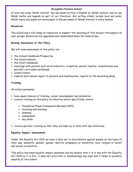of local and wider Welsh interest. We use books written in English by Welsh authors, and we use Welsh myths and legends as part of our literature. Our writing stimuli include local and wider Welsh topics and pupils are encouraged to discuss issues of Welsh interest in oracy lessons.

#### **Resources**

The school has a full range of resources to support the teaching of this subject throughout all year groups. Resources are upgraded and replenished when the need arises.

#### **Raising Awareness of this Policy**

We will raise awareness of this policy via:

- **f** the School Handbook/Prospectus
- $\blacksquare$  the school website
- **the Staff Handbook**
- meetings with parents such as introductory, transition, parent-teacher consultations and periodic curriculum workshops
- school events
- reports such annual report to parents and Headteacher reports to the Governing Body

## **Training**

All school personnel:

- have equal chances of training, career development and promotion
- receive training on this policy on induction which specifically covers:
	- Foundation Phase Framework (Revised 2015)
	- $\triangleright$  teaching and learning
	- $\triangleright$  planning
	- $\triangleright$  assessment
	- $\triangleright$  key skills
- receive periodic training so that they are kept up to date with new initiatives

#### **Equality Impact Assessment**

Under the Equality Act 2010 we have a duty not to discriminate against people on the basis of their age, disability, gender, gender identity, pregnancy or maternity, race, religion or belief and sexual orientation.

This policy has been equality impact assessed and we believe that it is in line with the Equality Act 2010 as it is fair, it does not prioritise or disadvantage any pupil and it helps to promote equality at this school.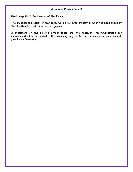#### **Monitoring the Effectiveness of the Policy**

The practical application of this policy will be reviewed annually or when the need arises by the Headteacher and the nominated governor.

A statement of the policy's effectiveness and the necessary recommendations for improvement will be presented to the Governing Body for further discussion and endorsement. (See Policy Evaluation)